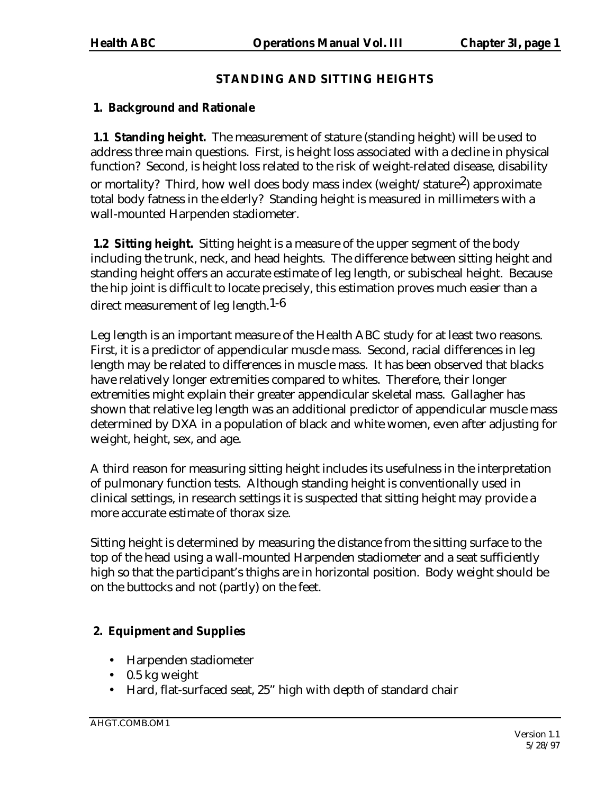# **STANDING AND SITTING HEIGHTS**

# **1. Background and Rationale**

 **1.1 Standing height.** The measurement of stature (standing height) will be used to address three main questions. First, is height loss associated with a decline in physical function? Second, is height loss related to the risk of weight-related disease, disability or mortality? Third, how well does body mass index (weight/stature<sup>2</sup>) approximate total body fatness in the elderly? Standing height is measured in millimeters with a wall-mounted Harpenden stadiometer.

**1.2 Sitting height.** Sitting height is a measure of the upper segment of the body including the trunk, neck, and head heights. The difference between sitting height and standing height offers an accurate estimate of leg length, or subischeal height. Because the hip joint is difficult to locate precisely, this estimation proves much easier than a direct measurement of leg length.<sup>1-6</sup>

Leg length is an important measure of the Health ABC study for at least two reasons. First, it is a predictor of appendicular muscle mass. Second, racial differences in leg length may be related to differences in muscle mass. It has been observed that blacks have relatively longer extremities compared to whites. Therefore, their longer extremities might explain their greater appendicular skeletal mass. Gallagher has shown that relative leg length was an additional predictor of appendicular muscle mass determined by DXA in a population of black and white women, even after adjusting for weight, height, sex, and age.

A third reason for measuring sitting height includes its usefulness in the interpretation of pulmonary function tests. Although standing height is conventionally used in clinical settings, in research settings it is suspected that sitting height may provide a more accurate estimate of thorax size.

Sitting height is determined by measuring the distance from the sitting surface to the top of the head using a wall-mounted Harpenden stadiometer and a seat sufficiently high so that the participant's thighs are in horizontal position. Body weight should be on the buttocks and not (partly) on the feet.

# **2. Equipment and Supplies**

- Harpenden stadiometer
- 0.5 kg weight
- Hard, flat-surfaced seat, 25" high with depth of standard chair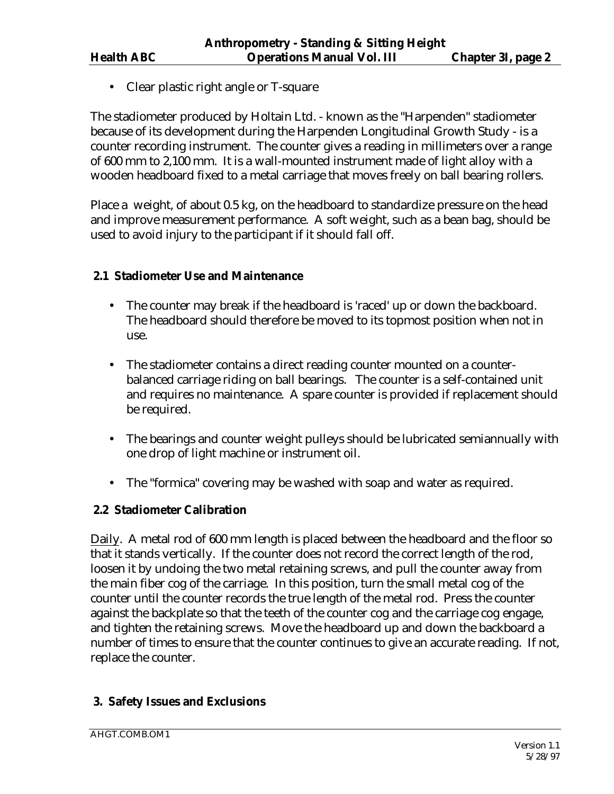• Clear plastic right angle or T-square

The stadiometer produced by Holtain Ltd. - known as the "Harpenden" stadiometer because of its development during the Harpenden Longitudinal Growth Study - is a counter recording instrument. The counter gives a reading in millimeters over a range of 600 mm to 2,100 mm. It is a wall-mounted instrument made of light alloy with a wooden headboard fixed to a metal carriage that moves freely on ball bearing rollers.

Place a weight, of about 0.5 kg, on the headboard to standardize pressure on the head and improve measurement performance. A soft weight, such as a bean bag, should be used to avoid injury to the participant if it should fall off.

## **2.1 Stadiometer Use and Maintenance**

- The counter may break if the headboard is 'raced' up or down the backboard. The headboard should therefore be moved to its topmost position when not in use.
- The stadiometer contains a direct reading counter mounted on a counterbalanced carriage riding on ball bearings. The counter is a self-contained unit and requires no maintenance. A spare counter is provided if replacement should be required.
- The bearings and counter weight pulleys should be lubricated semiannually with one drop of light machine or instrument oil.
- The "formica" covering may be washed with soap and water as required.

## **2.2 Stadiometer Calibration**

Daily. A metal rod of 600 mm length is placed between the headboard and the floor so that it stands vertically. If the counter does not record the correct length of the rod, loosen it by undoing the two metal retaining screws, and pull the counter away from the main fiber cog of the carriage. In this position, turn the small metal cog of the counter until the counter records the true length of the metal rod. Press the counter against the backplate so that the teeth of the counter cog and the carriage cog engage, and tighten the retaining screws. Move the headboard up and down the backboard a number of times to ensure that the counter continues to give an accurate reading. If not, replace the counter.

# **3. Safety Issues and Exclusions**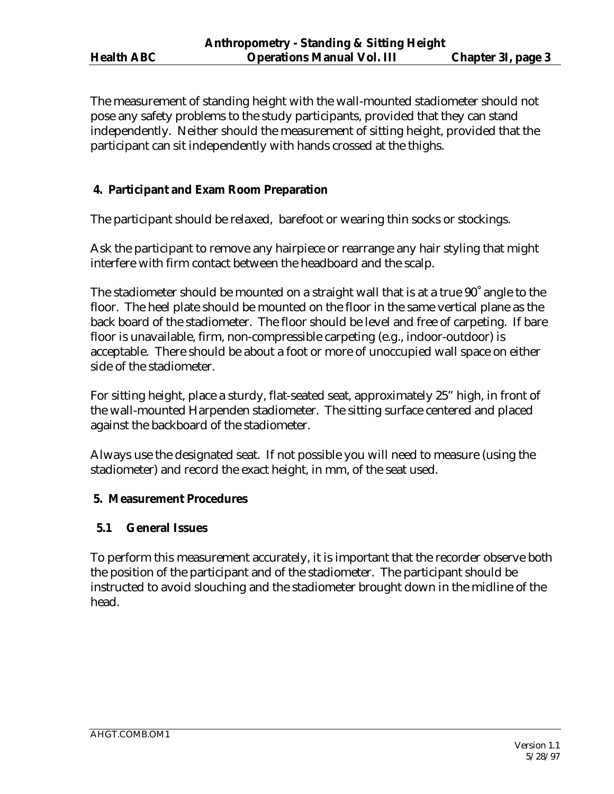The measurement of standing height with the wall-mounted stadiometer should not pose any safety problems to the study participants, provided that they can stand independently. Neither should the measurement of sitting height, provided that the participant can sit independently with hands crossed at the thighs.

# **4. Participant and Exam Room Preparation**

The participant should be relaxed, barefoot or wearing thin socks or stockings.

Ask the participant to remove any hairpiece or rearrange any hair styling that might interfere with firm contact between the headboard and the scalp.

The stadiometer should be mounted on a straight wall that is at a true 90˚ angle to the floor. The heel plate should be mounted on the floor in the same vertical plane as the back board of the stadiometer. The floor should be level and free of carpeting. If bare floor is unavailable, firm, non-compressible carpeting (e.g., indoor-outdoor) is acceptable. There should be about a foot or more of unoccupied wall space on either side of the stadiometer.

For sitting height, place a sturdy, flat-seated seat, approximately 25" high, in front of the wall-mounted Harpenden stadiometer. The sitting surface centered and placed against the backboard of the stadiometer.

Always use the designated seat. If not possible you will need to measure (using the stadiometer) and record the exact height, in mm, of the seat used.

# **5. Measurement Procedures**

# **5.1 General Issues**

To perform this measurement accurately, it is important that the recorder observe both the position of the participant and of the stadiometer. The participant should be instructed to avoid slouching and the stadiometer brought down in the midline of the head.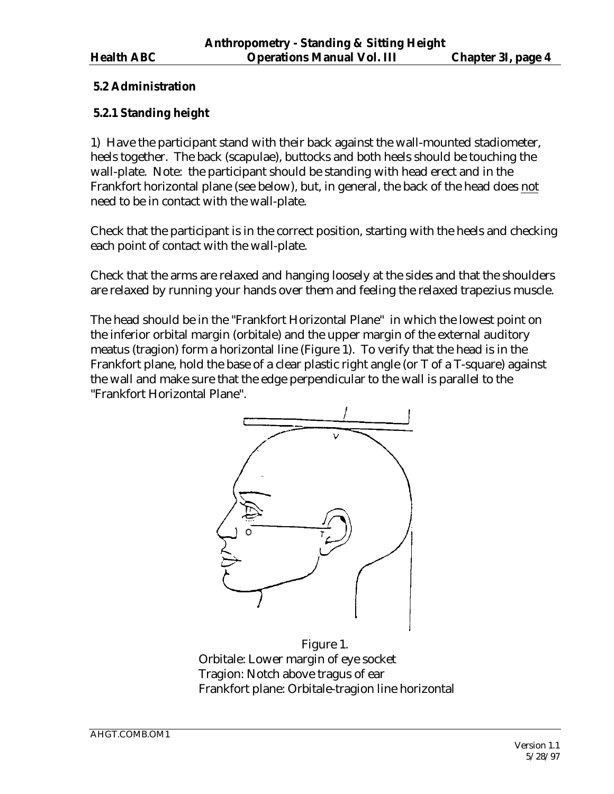## **5.2 Administration**

## **5.2.1 Standing height**

1) Have the participant stand with their back against the wall-mounted stadiometer, heels together. The back (scapulae), buttocks and both heels should be touching the wall-plate. Note: the participant should be standing with head erect and in the Frankfort horizontal plane (see below), but, in general, the back of the head does not need to be in contact with the wall-plate.

Check that the participant is in the correct position, starting with the heels and checking each point of contact with the wall-plate.

Check that the arms are relaxed and hanging loosely at the sides and that the shoulders are relaxed by running your hands over them and feeling the relaxed trapezius muscle.

The head should be in the "Frankfort Horizontal Plane" in which the lowest point on the inferior orbital margin (orbitale) and the upper margin of the external auditory meatus (tragion) form a horizontal line (Figure 1). To verify that the head is in the Frankfort plane, hold the base of a clear plastic right angle (or T of a T-square) against the wall and make sure that the edge perpendicular to the wall is parallel to the "Frankfort Horizontal Plane".



Figure 1. Orbitale: Lower margin of eye socket Tragion: Notch above tragus of ear Frankfort plane: Orbitale-tragion line horizontal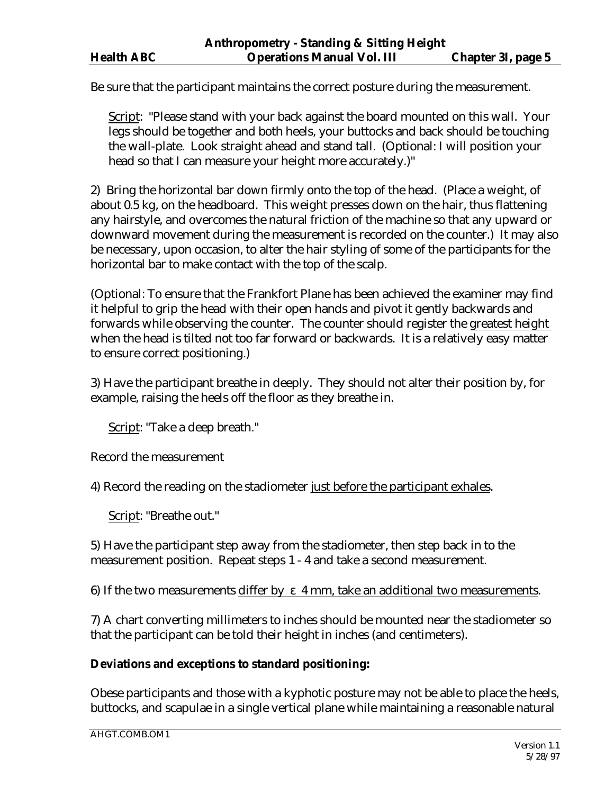Be sure that the participant maintains the correct posture during the measurement.

Script: "Please stand with your back against the board mounted on this wall. Your legs should be together and both heels, your buttocks and back should be touching the wall-plate. Look straight ahead and stand tall. (Optional: I will position your head so that I can measure your height more accurately.)"

2) Bring the horizontal bar down firmly onto the top of the head. (Place a weight, of about 0.5 kg, on the headboard. This weight presses down on the hair, thus flattening any hairstyle, and overcomes the natural friction of the machine so that any upward or downward movement during the measurement is recorded on the counter.) It may also be necessary, upon occasion, to alter the hair styling of some of the participants for the horizontal bar to make contact with the top of the scalp.

(Optional: To ensure that the Frankfort Plane has been achieved the examiner may find it helpful to grip the head with their open hands and pivot it gently backwards and forwards while observing the counter. The counter should register the greatest height when the head is tilted not too far forward or backwards. It is a relatively easy matter to ensure correct positioning.)

3) Have the participant breathe in deeply. They should not alter their position by, for example, raising the heels off the floor as they breathe in.

Script: "Take a deep breath."

Record the measurement

4) Record the reading on the stadiometer just before the participant exhales.

Script: "Breathe out."

5) Have the participant step away from the stadiometer, then step back in to the measurement position. Repeat steps 1 - 4 and take a second measurement.

6) If the two measurements differ by  $\varepsilon$  4 mm, take an additional two measurements.

7) A chart converting millimeters to inches should be mounted near the stadiometer so that the participant can be told their height in inches (and centimeters).

# **Deviations and exceptions to standard positioning:**

Obese participants and those with a kyphotic posture may not be able to place the heels, buttocks, and scapulae in a single vertical plane while maintaining a reasonable natural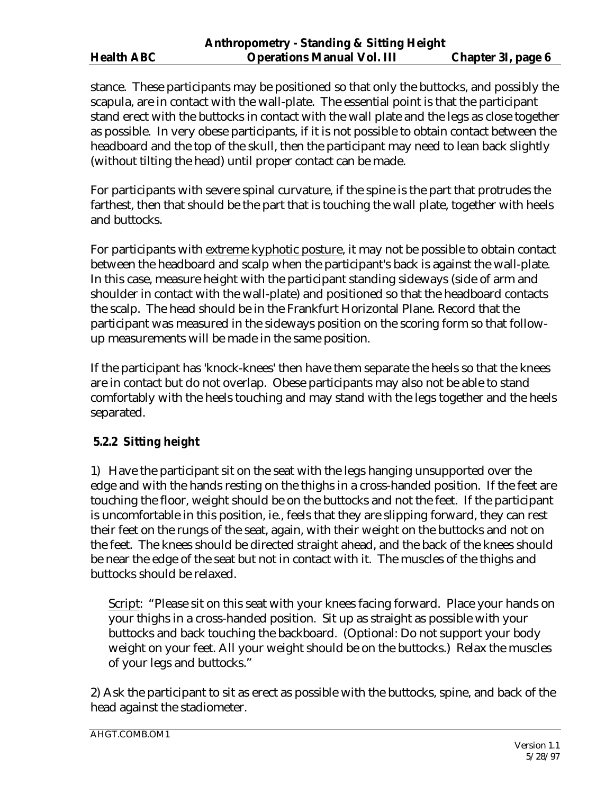stance. These participants may be positioned so that only the buttocks, and possibly the scapula, are in contact with the wall-plate. The essential point is that the participant stand erect with the buttocks in contact with the wall plate and the legs as close together as possible. In very obese participants, if it is not possible to obtain contact between the headboard and the top of the skull, then the participant may need to lean back slightly (without tilting the head) until proper contact can be made.

For participants with severe spinal curvature, if the spine is the part that protrudes the farthest, then that should be the part that is touching the wall plate, together with heels and buttocks.

For participants with extreme kyphotic posture, it may not be possible to obtain contact between the headboard and scalp when the participant's back is against the wall-plate. In this case, measure height with the participant standing sideways (side of arm and shoulder in contact with the wall-plate) and positioned so that the headboard contacts the scalp. The head should be in the Frankfurt Horizontal Plane. Record that the participant was measured in the sideways position on the scoring form so that followup measurements will be made in the same position.

If the participant has 'knock-knees' then have them separate the heels so that the knees are in contact but do not overlap. Obese participants may also not be able to stand comfortably with the heels touching and may stand with the legs together and the heels separated.

# **5.2.2 Sitting height**

1) Have the participant sit on the seat with the legs hanging unsupported over the edge and with the hands resting on the thighs in a cross-handed position. If the feet are touching the floor, weight should be on the buttocks and not the feet. If the participant is uncomfortable in this position, ie., feels that they are slipping forward, they can rest their feet on the rungs of the seat, again, with their weight on the buttocks and not on the feet. The knees should be directed straight ahead, and the back of the knees should be near the edge of the seat but not in contact with it. The muscles of the thighs and buttocks should be relaxed.

Script: "Please sit on this seat with your knees facing forward. Place your hands on your thighs in a cross-handed position. Sit up as straight as possible with your buttocks and back touching the backboard. (Optional: Do not support your body weight on your feet. All your weight should be on the buttocks.) Relax the muscles of your legs and buttocks."

2) Ask the participant to sit as erect as possible with the buttocks, spine, and back of the head against the stadiometer.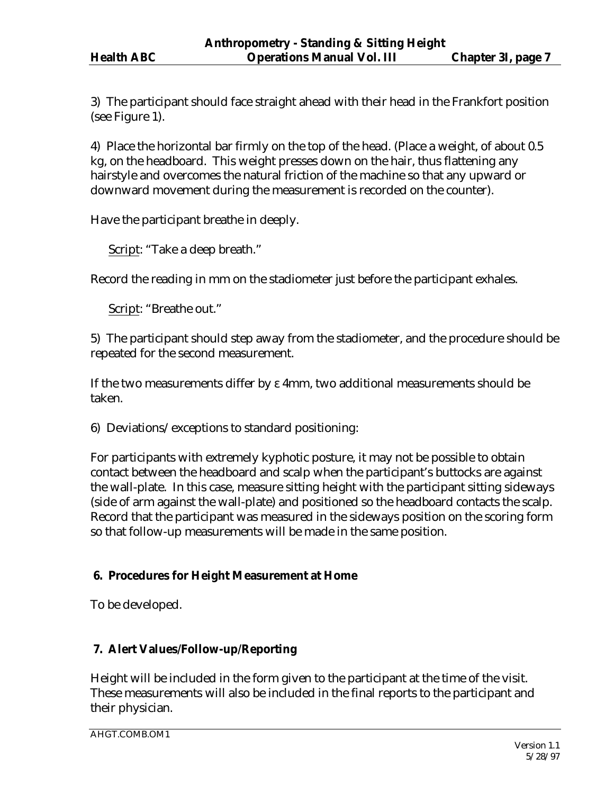3) The participant should face straight ahead with their head in the Frankfort position (see Figure 1).

4) Place the horizontal bar firmly on the top of the head. (Place a weight, of about 0.5 kg, on the headboard. This weight presses down on the hair, thus flattening any hairstyle and overcomes the natural friction of the machine so that any upward or downward movement during the measurement is recorded on the counter).

Have the participant breathe in deeply.

Script: "Take a deep breath."

Record the reading in mm on the stadiometer just before the participant exhales.

Script: "Breathe out."

5) The participant should step away from the stadiometer, and the procedure should be repeated for the second measurement.

If the two measurements differ by ε 4mm, two additional measurements should be taken.

6) Deviations/exceptions to standard positioning:

For participants with extremely kyphotic posture, it may not be possible to obtain contact between the headboard and scalp when the participant's buttocks are against the wall-plate. In this case, measure sitting height with the participant sitting sideways (side of arm against the wall-plate) and positioned so the headboard contacts the scalp. Record that the participant was measured in the sideways position on the scoring form so that follow-up measurements will be made in the same position.

# **6. Procedures for Height Measurement at Home**

To be developed.

# **7. Alert Values/Follow-up/Reporting**

Height will be included in the form given to the participant at the time of the visit. These measurements will also be included in the final reports to the participant and their physician.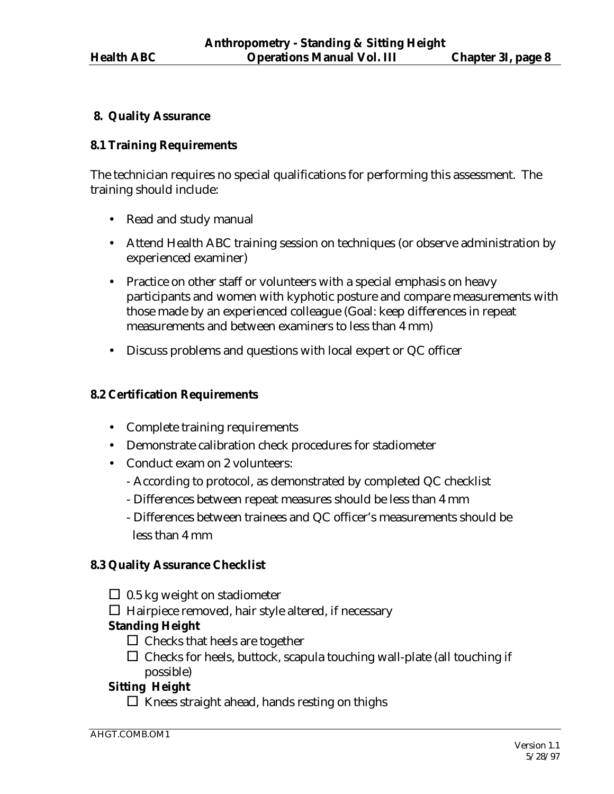## **8. Quality Assurance**

#### **8.1 Training Requirements**

The technician requires no special qualifications for performing this assessment. The training should include:

- Read and study manual
- Attend Health ABC training session on techniques (or observe administration by experienced examiner)
- Practice on other staff or volunteers with a special emphasis on heavy participants and women with kyphotic posture and compare measurements with those made by an experienced colleague (Goal: keep differences in repeat measurements and between examiners to less than 4 mm)
- Discuss problems and questions with local expert or QC officer

#### **8.2 Certification Requirements**

- Complete training requirements
- Demonstrate calibration check procedures for stadiometer
- Conduct exam on 2 volunteers:
	- According to protocol, as demonstrated by completed QC checklist
	- Differences between repeat measures should be less than 4 mm
	- Differences between trainees and QC officer's measurements should be less than 4 mm

## **8.3 Quality Assurance Checklist**

 $\Box$  0.5 kg weight on stadiometer

 $\Box$  Hairpiece removed, hair style altered, if necessary

## **Standing Height**

- $\Box$  Checks that heels are together
- $\Box$  Checks for heels, buttock, scapula touching wall-plate (all touching if possible)

# **Sitting Height**

 $\square$  Knees straight ahead, hands resting on thighs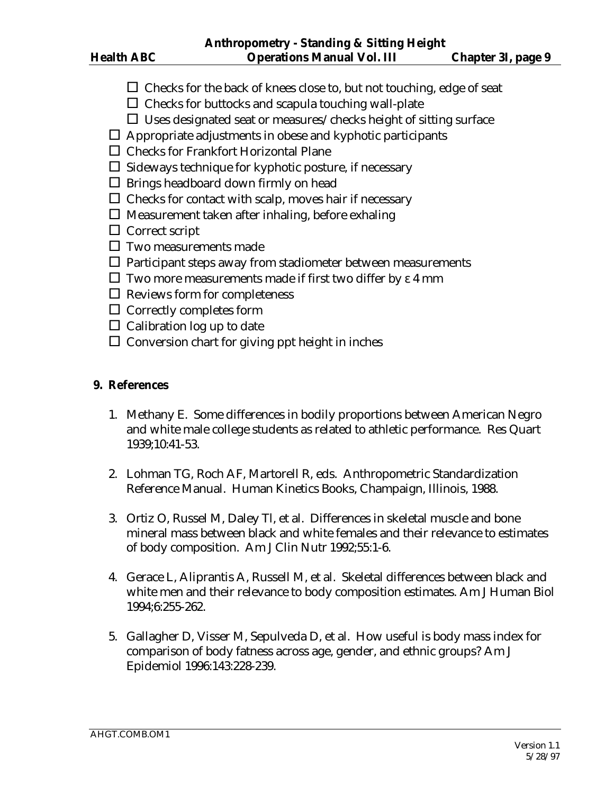- $\Box$  Checks for the back of knees close to, but not touching, edge of seat
- $\Box$  Checks for buttocks and scapula touching wall-plate
- $\Box$  Uses designated seat or measures/checks height of sitting surface
- $\Box$  Appropriate adjustments in obese and kyphotic participants
- $\Box$  Checks for Frankfort Horizontal Plane
- $\square$  Sideways technique for kyphotic posture, if necessary
- $\square$  Brings headboard down firmly on head
- $\Box$  Checks for contact with scalp, moves hair if necessary
- $\square$  Measurement taken after inhaling, before exhaling
- □ Correct script
- $\square$  Two measurements made
- $\Box$  Participant steps away from stadiometer between measurements
- $\square$  Two more measurements made if first two differ by  $\varepsilon$  4 mm
- $\Box$  Reviews form for completeness
- $\Box$  Correctly completes form
- $\Box$  Calibration log up to date
- $\square$  Conversion chart for giving ppt height in inches

## **9. References**

- 1. Methany E. Some differences in bodily proportions between American Negro and white male college students as related to athletic performance. Res Quart 1939;10:41-53.
- 2. Lohman TG, Roch AF, Martorell R, eds. Anthropometric Standardization Reference Manual. Human Kinetics Books, Champaign, Illinois, 1988.
- 3. Ortiz O, Russel M, Daley Tl, et al. Differences in skeletal muscle and bone mineral mass between black and white females and their relevance to estimates of body composition. Am J Clin Nutr 1992;55:1-6.
- 4. Gerace L, Aliprantis A, Russell M, et al. Skeletal differences between black and white men and their relevance to body composition estimates. Am J Human Biol 1994;6:255-262.
- 5. Gallagher D, Visser M, Sepulveda D, et al. How useful is body mass index for comparison of body fatness across age, gender, and ethnic groups? Am J Epidemiol 1996:143:228-239.